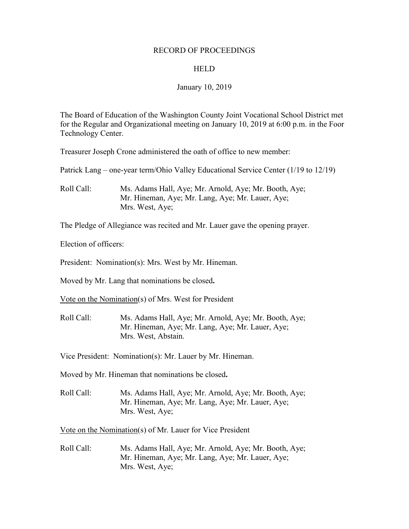#### RECORD OF PROCEEDINGS

#### **HELD**

#### January 10, 2019

The Board of Education of the Washington County Joint Vocational School District met for the Regular and Organizational meeting on January 10, 2019 at 6:00 p.m. in the Foor Technology Center.

Treasurer Joseph Crone administered the oath of office to new member:

Patrick Lang – one-year term/Ohio Valley Educational Service Center (1/19 to 12/19)

Roll Call: Ms. Adams Hall, Aye; Mr. Arnold, Aye; Mr. Booth, Aye; Mr. Hineman, Aye; Mr. Lang, Aye; Mr. Lauer, Aye; Mrs. West, Aye;

The Pledge of Allegiance was recited and Mr. Lauer gave the opening prayer.

Election of officers:

President: Nomination(s): Mrs. West by Mr. Hineman.

Moved by Mr. Lang that nominations be closed**.**

Vote on the Nomination(s) of Mrs. West for President

Roll Call: Ms. Adams Hall, Aye; Mr. Arnold, Aye; Mr. Booth, Aye; Mr. Hineman, Aye; Mr. Lang, Aye; Mr. Lauer, Aye; Mrs. West, Abstain.

Vice President: Nomination(s): Mr. Lauer by Mr. Hineman.

Moved by Mr. Hineman that nominations be closed**.**

Roll Call: Ms. Adams Hall, Aye; Mr. Arnold, Aye; Mr. Booth, Aye; Mr. Hineman, Aye; Mr. Lang, Aye; Mr. Lauer, Aye; Mrs. West, Aye;

Vote on the Nomination(s) of Mr. Lauer for Vice President

Roll Call: Ms. Adams Hall, Aye; Mr. Arnold, Aye; Mr. Booth, Aye; Mr. Hineman, Aye; Mr. Lang, Aye; Mr. Lauer, Aye; Mrs. West, Aye;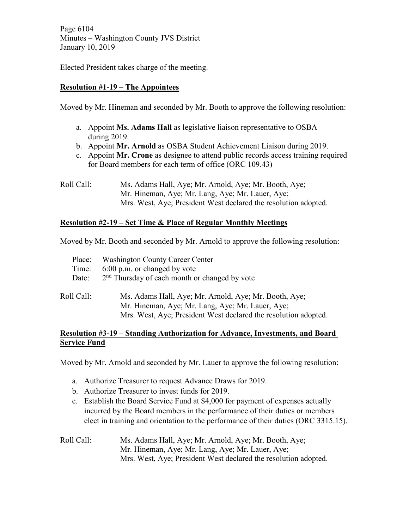Page 6104 Minutes – Washington County JVS District January 10, 2019

Elected President takes charge of the meeting.

# **Resolution #1-19 – The Appointees**

Moved by Mr. Hineman and seconded by Mr. Booth to approve the following resolution:

- a. Appoint **Ms. Adams Hall** as legislative liaison representative to OSBA during 2019.
- b. Appoint **Mr. Arnold** as OSBA Student Achievement Liaison during 2019.
- c. Appoint **Mr. Crone** as designee to attend public records access training required for Board members for each term of office (ORC 109.43)
- Roll Call: Ms. Adams Hall, Aye; Mr. Arnold, Aye; Mr. Booth, Aye; Mr. Hineman, Aye; Mr. Lang, Aye; Mr. Lauer, Aye; Mrs. West, Aye; President West declared the resolution adopted.

## **Resolution #2-19 – Set Time & Place of Regular Monthly Meetings**

Moved by Mr. Booth and seconded by Mr. Arnold to approve the following resolution:

| Place:     | <b>Washington County Career Center</b>                                                                                                                                       |
|------------|------------------------------------------------------------------------------------------------------------------------------------------------------------------------------|
| Time:      | 6:00 p.m. or changed by vote                                                                                                                                                 |
| Date:      | 2 <sup>nd</sup> Thursday of each month or changed by vote                                                                                                                    |
| Roll Call: | Ms. Adams Hall, Aye; Mr. Arnold, Aye; Mr. Booth, Aye;<br>Mr. Hineman, Aye; Mr. Lang, Aye; Mr. Lauer, Aye;<br>Mrs. West, Aye; President West declared the resolution adopted. |

### **Resolution #3-19 – Standing Authorization for Advance, Investments, and Board Service Fund**

Moved by Mr. Arnold and seconded by Mr. Lauer to approve the following resolution:

- a. Authorize Treasurer to request Advance Draws for 2019.
- b. Authorize Treasurer to invest funds for 2019.
- c. Establish the Board Service Fund at \$4,000 for payment of expenses actually incurred by the Board members in the performance of their duties or members elect in training and orientation to the performance of their duties (ORC 3315.15).
- Roll Call: Ms. Adams Hall, Aye; Mr. Arnold, Aye; Mr. Booth, Aye; Mr. Hineman, Aye; Mr. Lang, Aye; Mr. Lauer, Aye; Mrs. West, Aye; President West declared the resolution adopted.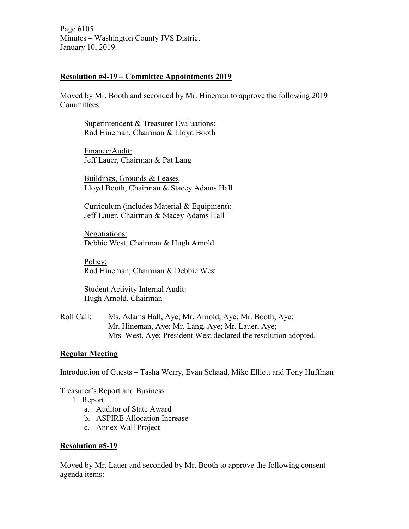Page 6105 Minutes – Washington County JVS District January 10, 2019

### **Resolution #4-19 – Committee Appointments 2019**

Moved by Mr. Booth and seconded by Mr. Hineman to approve the following 2019 Committees:

Superintendent & Treasurer Evaluations: Rod Hineman, Chairman & Lloyd Booth

Finance/Audit: Jeff Lauer, Chairman & Pat Lang

Buildings, Grounds & Leases Lloyd Booth, Chairman & Stacey Adams Hall

Curriculum (includes Material & Equipment): Jeff Lauer, Chairman & Stacey Adams Hall

Negotiations: Debbie West, Chairman & Hugh Arnold

Policy: Rod Hineman, Chairman & Debbie West

Student Activity Internal Audit: Hugh Arnold, Chairman

Roll Call: Ms. Adams Hall, Aye; Mr. Arnold, Aye; Mr. Booth, Aye; Mr. Hineman, Aye; Mr. Lang, Aye; Mr. Lauer, Aye; Mrs. West, Aye; President West declared the resolution adopted.

### **Regular Meeting**

Introduction of Guests – Tasha Werry, Evan Schaad, Mike Elliott and Tony Huffman

Treasurer's Report and Business

- 1. Report
	- a. Auditor of State Award
	- b. ASPIRE Allocation Increase
	- c. Annex Wall Project

### **Resolution #5-19**

Moved by Mr. Lauer and seconded by Mr. Booth to approve the following consent agenda items: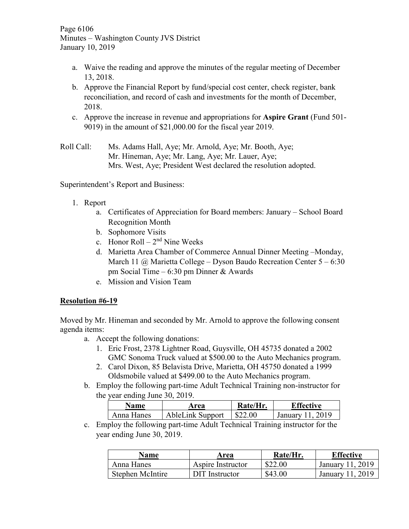Page 6106 Minutes – Washington County JVS District January 10, 2019

- a. Waive the reading and approve the minutes of the regular meeting of December 13, 2018.
- b. Approve the Financial Report by fund/special cost center, check register, bank reconciliation, and record of cash and investments for the month of December, 2018.
- c. Approve the increase in revenue and appropriations for **Aspire Grant** (Fund 501- 9019) in the amount of \$21,000.00 for the fiscal year 2019.

Roll Call: Ms. Adams Hall, Aye; Mr. Arnold, Aye; Mr. Booth, Aye; Mr. Hineman, Aye; Mr. Lang, Aye; Mr. Lauer, Aye; Mrs. West, Aye; President West declared the resolution adopted.

Superintendent's Report and Business:

- 1. Report
	- a. Certificates of Appreciation for Board members: January School Board Recognition Month
	- b. Sophomore Visits
	- c. Honor Roll  $2<sup>nd</sup>$  Nine Weeks
	- d. Marietta Area Chamber of Commerce Annual Dinner Meeting –Monday, March 11  $\omega$  Marietta College – Dyson Baudo Recreation Center 5 – 6:30 pm Social Time – 6:30 pm Dinner & Awards
	- e. Mission and Vision Team

## **Resolution #6-19**

Moved by Mr. Hineman and seconded by Mr. Arnold to approve the following consent agenda items:

- a. Accept the following donations:
	- 1. Eric Frost, 2378 Lightner Road, Guysville, OH 45735 donated a 2002 GMC Sonoma Truck valued at \$500.00 to the Auto Mechanics program.
	- 2. Carol Dixon, 85 Belavista Drive, Marietta, OH 45750 donated a 1999 Oldsmobile valued at \$499.00 to the Auto Mechanics program.
- b. Employ the following part-time Adult Technical Training non-instructor for the year ending June 30, 2019.

| Name       | Area                    | Rate/Hr. | Effective        |
|------------|-------------------------|----------|------------------|
| Anna Hanes | <b>AbleLink Support</b> | \$22.00  | January 11, 2019 |

c. Employ the following part-time Adult Technical Training instructor for the year ending June 30, 2019.

| Name             | Area              | Rate/Hr. | <b>Effective</b> |
|------------------|-------------------|----------|------------------|
| Anna Hanes       | Aspire Instructor | \$22.00  | January 11, 2019 |
| Stephen McIntire | DIT Instructor    | \$43.00  | January 11, 2019 |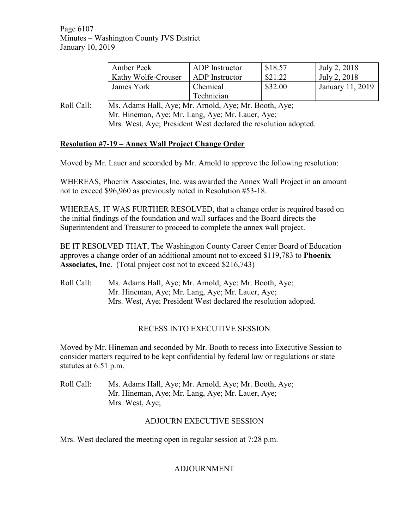Page 6107 Minutes – Washington County JVS District January 10, 2019

| Amber Peck          | ADP Instructor | \$18.57 | July 2, 2018     |
|---------------------|----------------|---------|------------------|
| Kathy Wolfe-Crouser | ADP Instructor | \$21.22 | July 2, 2018     |
| James York          | Chemical       | \$32.00 | January 11, 2019 |
|                     | Technician     |         |                  |

Roll Call: Ms. Adams Hall, Aye; Mr. Arnold, Aye; Mr. Booth, Aye; Mr. Hineman, Aye; Mr. Lang, Aye; Mr. Lauer, Aye; Mrs. West, Aye; President West declared the resolution adopted.

## **Resolution #7-19 – Annex Wall Project Change Order**

Moved by Mr. Lauer and seconded by Mr. Arnold to approve the following resolution:

WHEREAS, Phoenix Associates, Inc. was awarded the Annex Wall Project in an amount not to exceed \$96,960 as previously noted in Resolution #53-18.

WHEREAS, IT WAS FURTHER RESOLVED, that a change order is required based on the initial findings of the foundation and wall surfaces and the Board directs the Superintendent and Treasurer to proceed to complete the annex wall project.

BE IT RESOLVED THAT, The Washington County Career Center Board of Education approves a change order of an additional amount not to exceed \$119,783 to **Phoenix Associates, Inc**. (Total project cost not to exceed \$216,743)

Roll Call: Ms. Adams Hall, Aye; Mr. Arnold, Aye; Mr. Booth, Aye; Mr. Hineman, Aye; Mr. Lang, Aye; Mr. Lauer, Aye; Mrs. West, Aye; President West declared the resolution adopted.

### RECESS INTO EXECUTIVE SESSION

Moved by Mr. Hineman and seconded by Mr. Booth to recess into Executive Session to consider matters required to be kept confidential by federal law or regulations or state statutes at 6:51 p.m.

Roll Call: Ms. Adams Hall, Aye; Mr. Arnold, Aye; Mr. Booth, Aye; Mr. Hineman, Aye; Mr. Lang, Aye; Mr. Lauer, Aye; Mrs. West, Aye;

### ADJOURN EXECUTIVE SESSION

Mrs. West declared the meeting open in regular session at 7:28 p.m.

## ADJOURNMENT